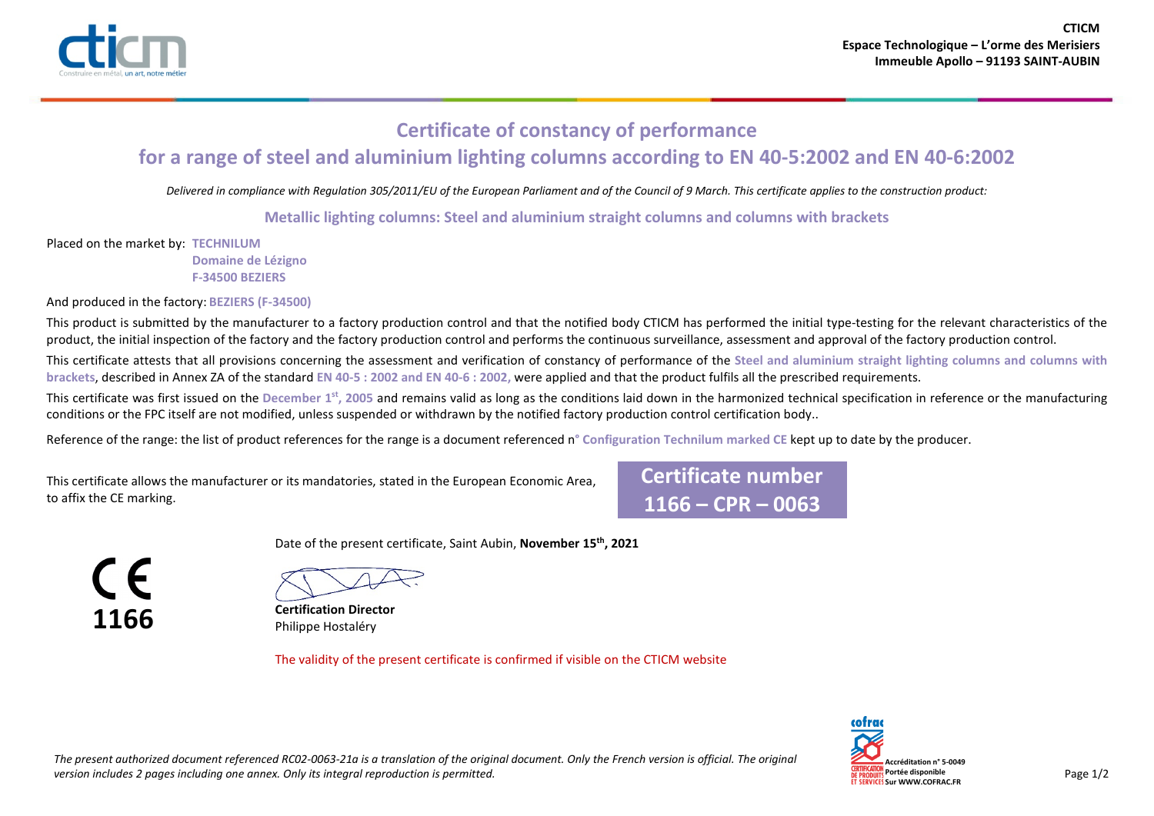

## **Certificate of constancy of performance for a range of steel and aluminium lighting columns according to EN 40-5:2002 and EN 40-6:2002**

*Delivered in compliance with Regulation 305/2011/EU of the European Parliament and of the Council of 9 March. This certificate applies to the construction product:* 

**Metallic lighting columns: Steel and aluminium straight columns and columns with brackets**

Placed on the market by: **TECHNILUM Domaine de Lézigno F-34500 BEZIERS**

And produced in the factory: **BEZIERS (F-34500)**

This product is submitted by the manufacturer to a factory production control and that the notified body CTICM has performed the initial type-testing for the relevant characteristics of the product, the initial inspection of the factory and the factory production control and performs the continuous surveillance, assessment and approval of the factory production control.

This certificate attests that all provisions concerning the assessment and verification of constancy of performance of the **Steel and aluminium straight lighting columns and columns with brackets**, described in Annex ZA of the standard **EN 40-5 : 2002 and EN 40-6 : 2002,** were applied and that the product fulfils all the prescribed requirements.

This certificate was first issued on the **December 1st, 2005** and remains valid as long as the conditions laid down in the harmonized technical specification in reference or the manufacturing conditions or the FPC itself are not modified, unless suspended or withdrawn by the notified factory production control certification body..

Reference of the range: the list of product references for the range is a document referenced n**° Configuration Technilum marked CE** kept up to date by the producer.

This certificate allows the manufacturer or its mandatories, stated in the European Economic Area, to affix the CE marking.

**Certificate number 1166 – CPR – 0063**

CE **1166**



**Certification Director** Philippe Hostaléry

The validity of the present certificate is confirmed if visible on the CTICM website

Date of the present certificate, Saint Aubin, **November 15th, 2021**



*The present authorized document referenced RC02-0063-21a is a translation of the original document. Only the French version is official. The original*  version includes 2 pages including one annex. Only its integral reproduction is permitted. Page 1/2